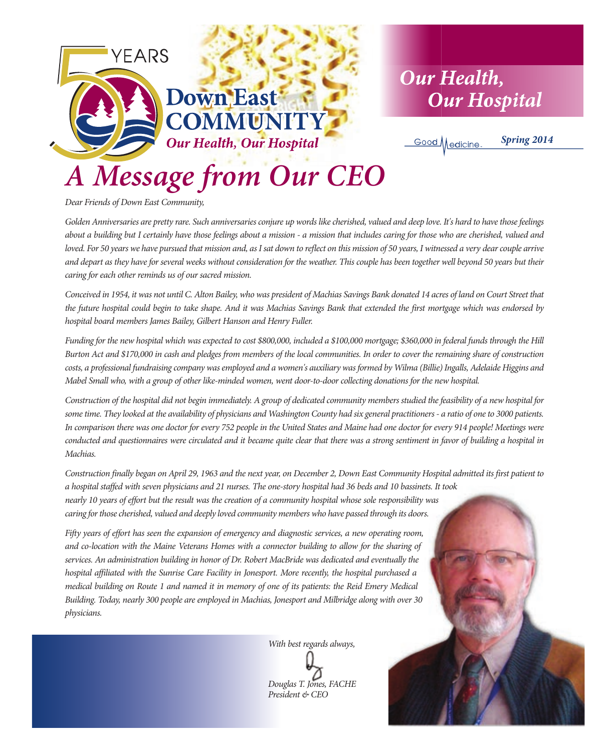

*Dear Friends of Down East Community,*

*Golden Anniversaries are pretty rare. Such anniversaries conjure up words like cherished, valued and deep love. It's hard to have those feelings about a building but I certainly have those feelings about a mission - a mission that includes caring for those who are cherished, valued and loved. For 50 years we have pursued that mission and, as I sat down to reflect on this mission of 50 years, I witnessed a very dear couple arrive and depart as they have for several weeks without consideration for the weather. This couple has been together well beyond 50 years but their caring for each other reminds us of our sacred mission.*

*Conceived in 1954, it was not until C. Alton Bailey, who was president of Machias Savings Bank donated 14 acres of land on Court Street that the future hospital could begin to take shape. And it was Machias Savings Bank that extended the first mortgage which was endorsed by hospital board members James Bailey, Gilbert Hanson and Henry Fuller.* 

*Funding for the new hospital which was expected to cost \$800,000, included a \$100,000 mortgage; \$360,000 in federal funds through the Hill Burton Act and \$170,000 in cash and pledges from members of the local communities. In order to cover the remaining share of construction costs, a professional fundraising company was employed and a women's auxiliary was formed by Wilma (Billie) Ingalls, Adelaide Higgins and Mabel Small who, with a group of other like-minded women, went door-to-door collecting donations for the new hospital.* 

*Construction of the hospital did not begin immediately. A group of dedicated community members studied the feasibility of a new hospital for some time. They looked at the availability of physicians and Washington County had six general practitioners - a ratio of one to 3000 patients. In comparison there was one doctor for every 752 people in the United States and Maine had one doctor for every 914 people! Meetings were conducted and questionnaires were circulated and it became quite clear that there was a strong sentiment in favor of building a hospital in Machias.* 

*Construction finally began on April 29, 1963 and the next year, on December 2, Down East Community Hospital admitted its first patient to a hospital staffed with seven physicians and 21 nurses. The one-story hospital had 36 beds and 10 bassinets. It took nearly 10 years of effort but the result was the creation of a community hospital whose sole responsibility was caring for those cherished, valued and deeply loved community members who have passed through its doors.* 

*Fifty years of effort has seen the expansion of emergency and diagnostic services, a new operating room, and co-location with the Maine Veterans Homes with a connector building to allow for the sharing of services. An administration building in honor of Dr. Robert MacBride was dedicated and eventually the hospital affiliated with the Sunrise Care Facility in Jonesport. More recently, the hospital purchased a medical building on Route 1 and named it in memory of one of its patients: the Reid Emery Medical Building. Today, nearly 300 people are employed in Machias, Jonesport and Milbridge along with over 30 physicians.*

*With best regards always,*

*Douglas T. Jones, FACHE President & CEO*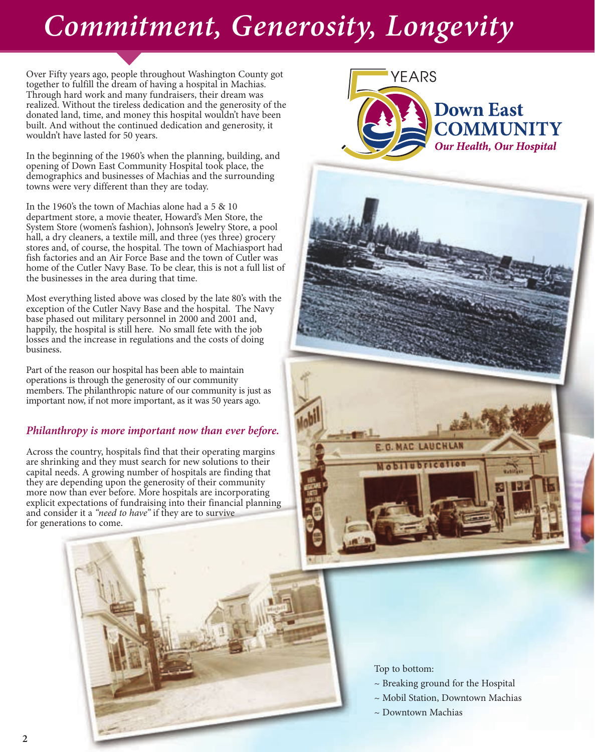# *Commitment, Generosity, Longevity*

Over Fifty years ago, people throughout Washington County got together to fulfill the dream of having a hospital in Machias. Through hard work and many fundraisers, their dream was realized. Without the tireless dedication and the generosity of the donated land, time, and money this hospital wouldn't have been built. And without the continued dedication and generosity, it wouldn't have lasted for 50 years.

In the beginning of the 1960's when the planning, building, and opening of Down East Community Hospital took place, the demographics and businesses of Machias and the surrounding towns were very different than they are today.

In the 1960's the town of Machias alone had a 5 & 10 department store, a movie theater, Howard's Men Store, the System Store (women's fashion), Johnson's Jewelry Store, a pool hall, a dry cleaners, a textile mill, and three (yes three) grocery stores and, of course, the hospital. The town of Machiasport had fish factories and an Air Force Base and the town of Cutler was home of the Cutler Navy Base. To be clear, this is not a full list of the businesses in the area during that time.

Most everything listed above was closed by the late 80's with the exception of the Cutler Navy Base and the hospital. The Navy base phased out military personnel in 2000 and 2001 and, happily, the hospital is still here. No small fete with the job losses and the increase in regulations and the costs of doing business.

Part of the reason our hospital has been able to maintain operations is through the generosity of our community members. The philanthropic nature of our community is just as important now, if not more important, as it was 50 years ago.

#### *Philanthropy is more important now than ever before.*

Across the country, hospitals find that their operating margins are shrinking and they must search for new solutions to their capital needs. A growing number of hospitals are finding that they are depending upon the generosity of their community more now than ever before. More hospitals are incorporating explicit expectations of fundraising into their financial planning and consider it a *"need to have"* if they are to survive for generations to come.





- ~ Breaking ground for the Hospital
- ~ Mobil Station, Downtown Machias
- ~ Downtown Machias

E.G. MAC LAUCHLAN Mobilubricatio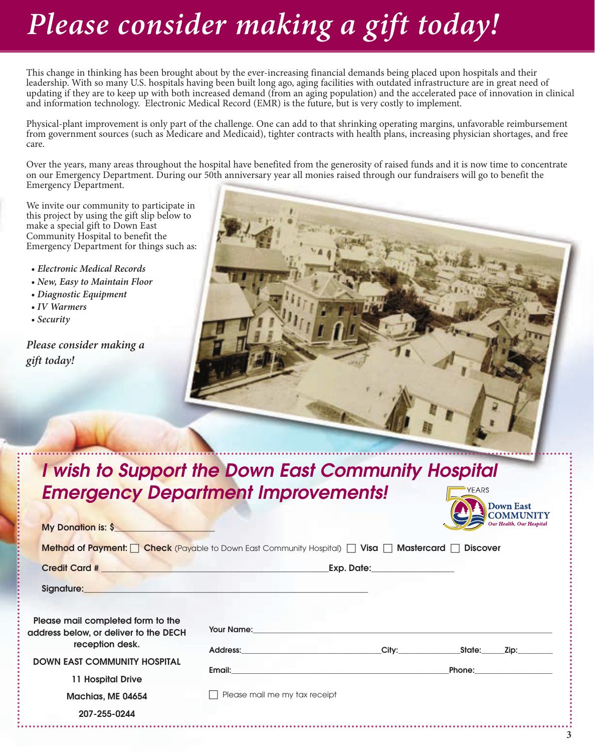# *Please consider making a gift today!*

This change in thinking has been brought about by the ever-increasing financial demands being placed upon hospitals and their leadership. With so many U.S. hospitals having been built long ago, aging facilities with outdated infrastructure are in great need of updating if they are to keep up with both increased demand (from an aging population) and the accelerated pace of innovation in clinical and information technology. Electronic Medical Record (EMR) is the future, but is very costly to implement.

Physical-plant improvement is only part of the challenge. One can add to that shrinking operating margins, unfavorable reimbursement from government sources (such as Medicare and Medicaid), tighter contracts with health plans, increasing physician shortages, and free care.

Over the years, many areas throughout the hospital have benefited from the generosity of raised funds and it is now time to concentrate on our Emergency Department. During our 50th anniversary year all monies raised through our fundraisers will go to benefit the Emergency Department.

We invite our community to participate in this project by using the gift slip below to make a special gift to Down East Community Hospital to benefit the Emergency Department for things such as:

- *Electronic Medical Records*
- *New, Easy to Maintain Floor*
- *Diagnostic Equipment*
- *IV Warmers*
- *Security*

*Please consider making a gift today!*



#### **I wish to Support the Down East Community Hospital Emergency Department Improvements!** YEARS Down East

| My Donation is: \$                                                                                                                                                                                   |                                                                                                                                                                                                                                |                                                                                                                                                                                                                                      | COMMUNITY<br>Our Health, Our Hospital                                                                                                                                                                                               |
|------------------------------------------------------------------------------------------------------------------------------------------------------------------------------------------------------|--------------------------------------------------------------------------------------------------------------------------------------------------------------------------------------------------------------------------------|--------------------------------------------------------------------------------------------------------------------------------------------------------------------------------------------------------------------------------------|-------------------------------------------------------------------------------------------------------------------------------------------------------------------------------------------------------------------------------------|
| <b>Method of Payment:</b> $\Box$ Check (Payable to Down East Community Hospital) $\Box$ Visa $\Box$ Mastercard $\Box$ Discover                                                                       |                                                                                                                                                                                                                                |                                                                                                                                                                                                                                      |                                                                                                                                                                                                                                     |
|                                                                                                                                                                                                      |                                                                                                                                                                                                                                | Exp. Date: __________________                                                                                                                                                                                                        |                                                                                                                                                                                                                                     |
| Signature: <b>Signature: Signature: Signature: Signature: Signature: Signature: Signature: Signature: Signature: Signature: Signature: Signature: Signature: Signature: Signature: Signature: Si</b> |                                                                                                                                                                                                                                |                                                                                                                                                                                                                                      |                                                                                                                                                                                                                                     |
| Please mail completed form to the<br>address below, or deliver to the DECH                                                                                                                           |                                                                                                                                                                                                                                | <b>The View Service Service Service Service Service Service Service Service Service Service Service Service Service Service Service Service Service Service Service Service Service Service Service Service Service Service Serv</b> |                                                                                                                                                                                                                                     |
| reception desk.<br><b>DOWN EAST COMMUNITY HOSPITAL</b><br>11 Hospital Drive                                                                                                                          | Address: the contract of the contract of the contract of the contract of the contract of the contract of the contract of the contract of the contract of the contract of the contract of the contract of the contract of the c | City: the contract of the contract of the contract of the contract of the contract of the contract of the contract of the contract of the contract of the contract of the contract of the contract of the contract of the cont       | State:<br>Zip: The Side of the Side of the Side of the Side of the Side of the Side of the Side of the Side o                                                                                                                       |
|                                                                                                                                                                                                      |                                                                                                                                                                                                                                | <b>Email:</b> Email: A state of the state of the state of the state of the state of the state of the state of the state of the state of the state of the state of the state of the state of the state of the state of the state of   | <b>Phone:</b> The contract of the contract of the contract of the contract of the contract of the contract of the contract of the contract of the contract of the contract of the contract of the contract of the contract of the c |
| Machias, ME 04654                                                                                                                                                                                    | Please mail me my tax receipt                                                                                                                                                                                                  |                                                                                                                                                                                                                                      |                                                                                                                                                                                                                                     |
| 207-255-0244                                                                                                                                                                                         |                                                                                                                                                                                                                                |                                                                                                                                                                                                                                      |                                                                                                                                                                                                                                     |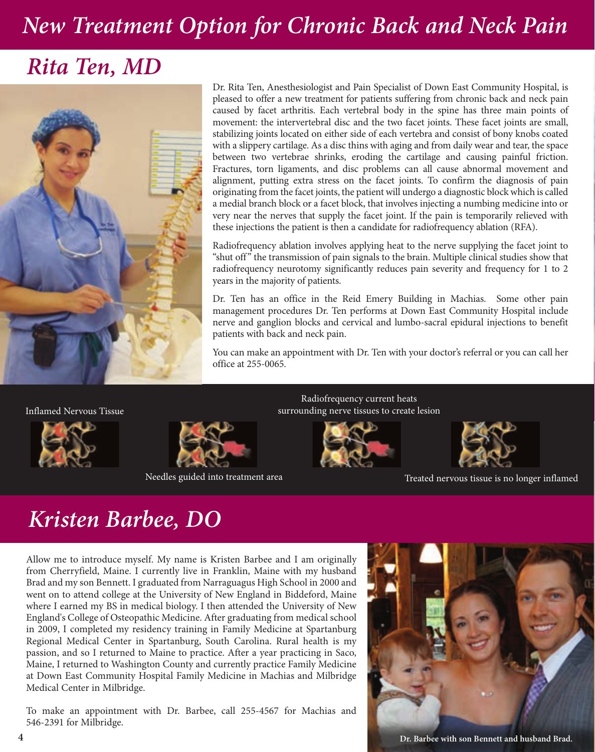# *New Treatment Option for Chronic Back and Neck Pain*

### *Rita Ten, MD*



Dr. Rita Ten, Anesthesiologist and Pain Specialist of Down East Community Hospital, is pleased to offer a new treatment for patients suffering from chronic back and neck pain caused by facet arthritis. Each vertebral body in the spine has three main points of movement: the intervertebral disc and the two facet joints. These facet joints are small, stabilizing joints located on either side of each vertebra and consist of bony knobs coated with a slippery cartilage. As a disc thins with aging and from daily wear and tear, the space between two vertebrae shrinks, eroding the cartilage and causing painful friction. Fractures, torn ligaments, and disc problems can all cause abnormal movement and alignment, putting extra stress on the facet joints. To confirm the diagnosis of pain originating from the facet joints, the patient will undergo a diagnostic block which is called a medial branch block or a facet block, that involves injecting a numbing medicine into or very near the nerves that supply the facet joint. If the pain is temporarily relieved with these injections the patient is then a candidate for radiofrequency ablation (RFA).

Radiofrequency ablation involves applying heat to the nerve supplying the facet joint to "shut off" the transmission of pain signals to the brain. Multiple clinical studies show that radiofrequency neurotomy significantly reduces pain severity and frequency for 1 to 2 years in the majority of patients.

Dr. Ten has an office in the Reid Emery Building in Machias. Some other pain management procedures Dr. Ten performs at Down East Community Hospital include nerve and ganglion blocks and cervical and lumbo-sacral epidural injections to benefit patients with back and neck pain.

You can make an appointment with Dr. Ten with your doctor's referral or you can call her office at 255-0065.

Inflamed Nervous Tissue





Radiofrequency current heats surrounding nerve tissues to create lesion





Needles guided into treatment area Treatment area Treated nervous tissue is no longer inflamed

# *Kristen Barbee, DO*

Allow me to introduce myself. My name is Kristen Barbee and I am originally from Cherryfield, Maine. I currently live in Franklin, Maine with my husband Brad and my son Bennett. I graduated from Narraguagus High School in 2000 and went on to attend college at the University of New England in Biddeford, Maine where I earned my BS in medical biology. I then attended the University of New England's College of Osteopathic Medicine. After graduating from medical school in 2009, I completed my residency training in Family Medicine at Spartanburg Regional Medical Center in Spartanburg, South Carolina. Rural health is my passion, and so I returned to Maine to practice. After a year practicing in Saco, Maine, I returned to Washington County and currently practice Family Medicine at Down East Community Hospital Family Medicine in Machias and Milbridge Medical Center in Milbridge.

To make an appointment with Dr. Barbee, call 255-4567 for Machias and 546-2391 for Milbridge.

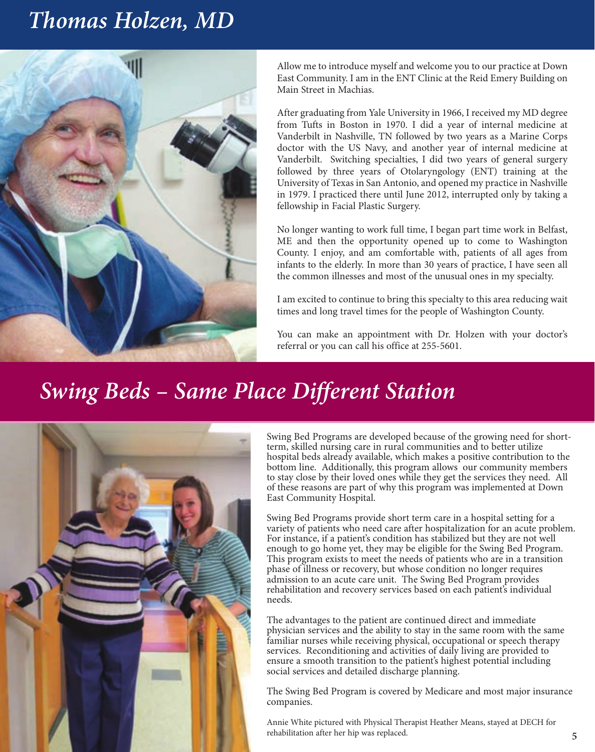## *Thomas Holzen, MD*



Allow me to introduce myself and welcome you to our practice at Down East Community. I am in the ENT Clinic at the Reid Emery Building on Main Street in Machias.

After graduating from Yale University in 1966, I received my MD degree from Tufts in Boston in 1970. I did a year of internal medicine at Vanderbilt in Nashville, TN followed by two years as a Marine Corps doctor with the US Navy, and another year of internal medicine at Vanderbilt. Switching specialties, I did two years of general surgery followed by three years of Otolaryngology (ENT) training at the University of Texas in San Antonio, and opened my practice in Nashville in 1979. I practiced there until June 2012, interrupted only by taking a fellowship in Facial Plastic Surgery.

No longer wanting to work full time, I began part time work in Belfast, ME and then the opportunity opened up to come to Washington County. I enjoy, and am comfortable with, patients of all ages from infants to the elderly. In more than 30 years of practice, I have seen all the common illnesses and most of the unusual ones in my specialty.

I am excited to continue to bring this specialty to this area reducing wait times and long travel times for the people of Washington County.

You can make an appointment with Dr. Holzen with your doctor's referral or you can call his office at 255-5601.

# *Swing Beds – Same Place Different Station*



Swing Bed Programs are developed because of the growing need for shortterm, skilled nursing care in rural communities and to better utilize hospital beds already available, which makes a positive contribution to the bottom line. Additionally, this program allows our community members to stay close by their loved ones while they get the services they need. All of these reasons are part of why this program was implemented at Down East Community Hospital.

Swing Bed Programs provide short term care in a hospital setting for a variety of patients who need care after hospitalization for an acute problem. For instance, if a patient's condition has stabilized but they are not well enough to go home yet, they may be eligible for the Swing Bed Program. This program exists to meet the needs of patients who are in a transition phase of illness or recovery, but whose condition no longer requires admission to an acute care unit. The Swing Bed Program provides rehabilitation and recovery services based on each patient's individual needs.

The advantages to the patient are continued direct and immediate physician services and the ability to stay in the same room with the same familiar nurses while receiving physical, occupational or speech therapy services. Reconditioning and activities of daily living are provided to ensure a smooth transition to the patient's highest potential including social services and detailed discharge planning.

The Swing Bed Program is covered by Medicare and most major insurance companies.

Annie White pictured with Physical Therapist Heather Means, stayed at DECH for rehabilitation after her hip was replaced.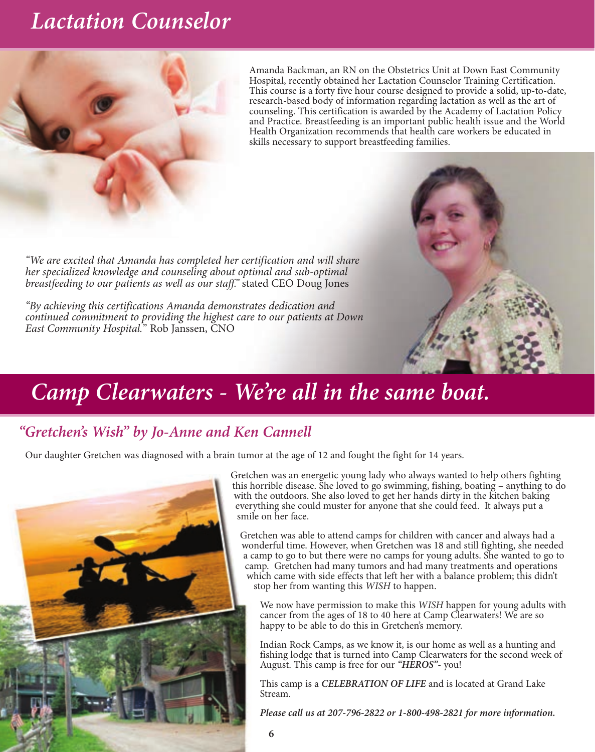## *Lactation Counselor*



Amanda Backman, an RN on the Obstetrics Unit at Down East Community Hospital, recently obtained her Lactation Counselor Training Certification. This course is a forty five hour course designed to provide a solid, up-to-date, research-based body of information regarding lactation as well as the art of counseling. This certification is awarded by the Academy of Lactation Policy and Practice. Breastfeeding is an important public health issue and the World Health Organization recommends that health care workers be educated in skills necessary to support breastfeeding families.

*"We are excited that Amanda has completed her certification and will share her specialized knowledge and counseling about optimal and sub-optimal breastfeeding to our patients as well as our staff."* stated CEO Doug Jones

*"By achieving this certifications Amanda demonstrates dedication and continued commitment to providing the highest care to our patients at Down East Community Hospital.*" Rob Janssen, CNO

## *Camp Clearwaters - We're all in the same boat.*

### *"Gretchen's Wish" by Jo-Anne and Ken Cannell*

Our daughter Gretchen was diagnosed with a brain tumor at the age of 12 and fought the fight for 14 years.



Gretchen was an energetic young lady who always wanted to help others fighting this horrible disease. She loved to go swimming, fishing, boating – anything to do with the outdoors. She also loved to get her hands dirty in the kitchen baking everything she could muster for anyone that she could feed. It always put a smile on her face.

Gretchen was able to attend camps for children with cancer and always had a wonderful time. However, when Gretchen was 18 and still fighting, she needed a camp to go to but there were no camps for young adults. She wanted to go to camp. Gretchen had many tumors and had many treatments and operations which came with side effects that left her with a balance problem; this didn't stop her from wanting this *WISH* to happen.

We now have permission to make this *WISH* happen for young adults with cancer from the ages of 18 to 40 here at Camp Clearwaters! We are so happy to be able to do this in Gretchen's memory.

Indian Rock Camps, as we know it, is our home as well as a hunting and fishing lodge that is turned into Camp Clearwaters for the second week of August. This camp is free for our *"HEROS"*- you!

This camp is a *CELEBRATION OF LIFE* and is located at Grand Lake Stream.

*Please call us at 207-796-2822 or 1-800-498-2821 for more information.*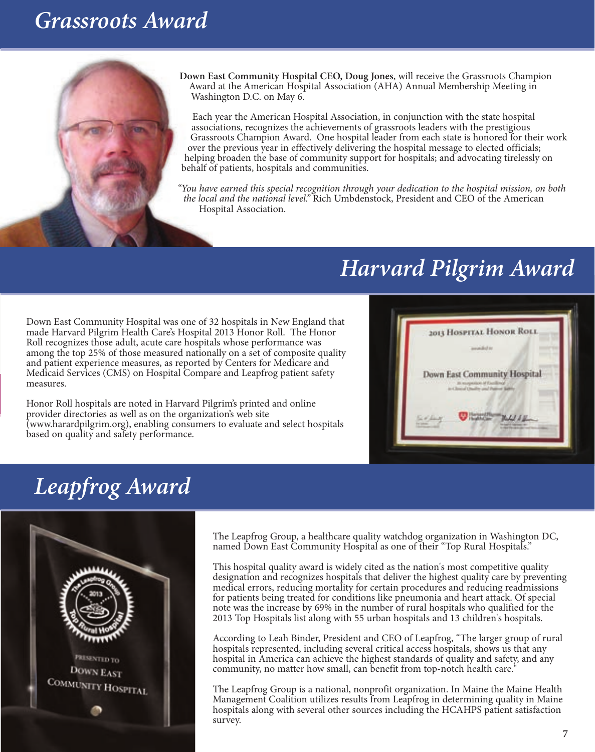### *Grassroots Award*



**Down East Community Hospital CEO, Doug Jones**, will receive the Grassroots Champion Award at the American Hospital Association (AHA) Annual Membership Meeting in Washington D.C. on May 6.

Each year the American Hospital Association, in conjunction with the state hospital associations, recognizes the achievements of grassroots leaders with the prestigious Grassroots Champion Award. One hospital leader from each state is honored for their work over the previous year in effectively delivering the hospital message to elected officials; helping broaden the base of community support for hospitals; and advocating tirelessly on behalf of patients, hospitals and communities.

*"You have earned this special recognition through your dedication to the hospital mission, on both the local and the national level."* Rich Umbdenstock, President and CEO of the American Hospital Association.

## *Harvard Pilgrim Award*

Down East Community Hospital was one of 32 hospitals in New England that made Harvard Pilgrim Health Care's Hospital 2013 Honor Roll. The Honor Roll recognizes those adult, acute care hospitals whose performance was among the top 25% of those measured nationally on a set of composite quality and patient experience measures, as reported by Centers for Medicare and Medicaid Services (CMS) on Hospital Compare and Leapfrog patient safety measures.

Honor Roll hospitals are noted in Harvard Pilgrim's printed and online provider directories as well as on the organization's web site (www.harardpilgrim.org), enabling consumers to evaluate and select hospitals based on quality and safety performance.



## *Leapfrog Award*



The Leapfrog Group, a healthcare quality watchdog organization in Washington DC, named Down East Community Hospital as one of their "Top Rural Hospitals."

This hospital quality award is widely cited as the nation's most competitive quality designation and recognizes hospitals that deliver the highest quality care by preventing medical errors, reducing mortality for certain procedures and reducing readmissions for patients being treated for conditions like pneumonia and heart attack. Of special note was the increase by 69% in the number of rural hospitals who qualified for the 2013 Top Hospitals list along with 55 urban hospitals and 13 children's hospitals.

According to Leah Binder, President and CEO of Leapfrog, "The larger group of rural hospitals represented, including several critical access hospitals, shows us that any hospital in America can achieve the highest standards of quality and safety, and any community, no matter how small, can benefit from top-notch health care."

The Leapfrog Group is a national, nonprofit organization. In Maine the Maine Health Management Coalition utilizes results from Leapfrog in determining quality in Maine hospitals along with several other sources including the HCAHPS patient satisfaction survey.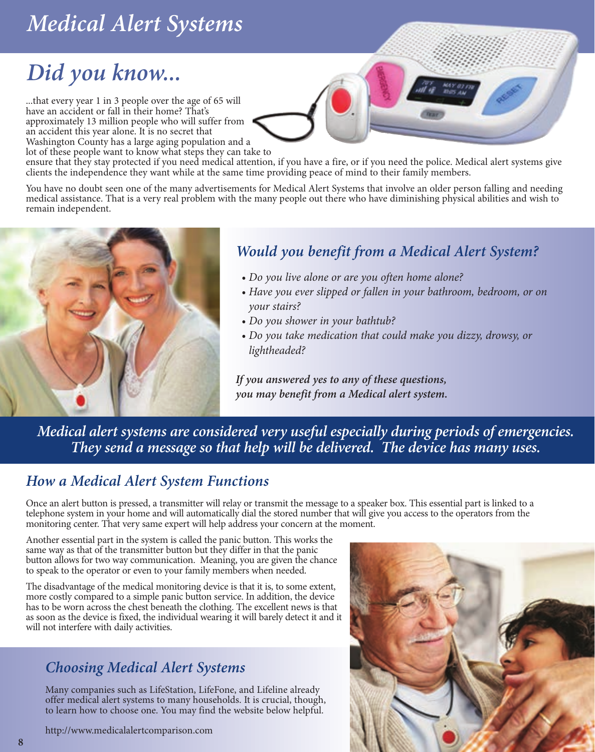# *Medical Alert Systems*

# *Did you know...*

...that every year 1 in 3 people over the age of 65 will have an accident or fall in their home? That's approximately 13 million people who will suffer from an accident this year alone. It is no secret that Washington County has a large aging population and a lot of these people want to know what steps they can take to

ensure that they stay protected if you need medical attention, if you have a fire, or if you need the police. Medical alert systems give clients the independence they want while at the same time providing peace of mind to their family members.

You have no doubt seen one of the many advertisements for Medical Alert Systems that involve an older person falling and needing medical assistance. That is a very real problem with the many people out there who have diminishing physical abilities and wish to remain independent.



### *Would you benefit from a Medical Alert System?*

- *Do you live alone or are you often home alone?*
- *Have you ever slipped or fallen in your bathroom, bedroom, or on your stairs?*
- *Do you shower in your bathtub?*
- *Do you take medication that could make you dizzy, drowsy, or lightheaded?*

*If you answered yes to any of these questions, you may benefit from a Medical alert system.*

*Medical alert systems are considered very useful especially during periods of emergencies. They send a message so that help will be delivered. The device has many uses.*

### *How a Medical Alert System Functions*

Once an alert button is pressed, a transmitter will relay or transmit the message to a speaker box. This essential part is linked to a telephone system in your home and will automatically dial the stored number that will give you access to the operators from the monitoring center. That very same expert will help address your concern at the moment.

Another essential part in the system is called the panic button. This works the same way as that of the transmitter button but they differ in that the panic button allows for two way communication. Meaning, you are given the chance to speak to the operator or even to your family members when needed.

The disadvantage of the medical monitoring device is that it is, to some extent, more costly compared to a simple panic button service. In addition, the device has to be worn across the chest beneath the clothing. The excellent news is that as soon as the device is fixed, the individual wearing it will barely detect it and it will not interfere with daily activities.

### *Choosing Medical Alert Systems*

Many companies such as LifeStation, LifeFone, and Lifeline already offer medical alert systems to many households. It is crucial, though, to learn how to choose one. You may find the website below helpful.

http://www.medicalalertcomparison.com

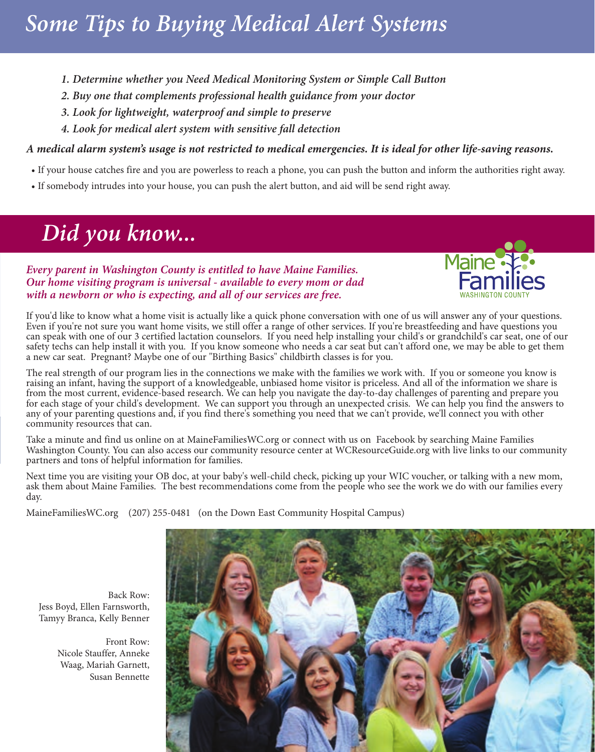# *Some Tips to Buying Medical Alert Systems*

- *1. Determine whether you Need Medical Monitoring System or Simple Call Button*
- *2. Buy one that complements professional health guidance from your doctor*
- *3. Look for lightweight, waterproof and simple to preserve*
- *4. Look for medical alert system with sensitive fall detection*

#### *A medical alarm system's usage is not restricted to medical emergencies. It is ideal for other life-saving reasons.*

- If your house catches fire and you are powerless to reach a phone, you can push the button and inform the authorities right away.
- If somebody intrudes into your house, you can push the alert button, and aid will be send right away.

# *Did you know...*

#### *Every parent in Washington County is entitled to have Maine Families. Our home visiting program is universal - available to every mom or dad with a newborn or who is expecting, and all of our services are free.*



If you'd like to know what a home visit is actually like a quick phone conversation with one of us will answer any of your questions. Even if you're not sure you want home visits, we still offer a range of other services. If you're breastfeeding and have questions you can speak with one of our 3 certified lactation counselors. If you need help installing your child's or grandchild's car seat, one of our safety techs can help install it with you. If you know someone who needs a car seat but can't afford one, we may be able to get them a new car seat. Pregnant? Maybe one of our "Birthing Basics" childbirth classes is for you.

The real strength of our program lies in the connections we make with the families we work with. If you or someone you know is raising an infant, having the support of a knowledgeable, unbiased home visitor is priceless. And all of the information we share is from the most current, evidence-based research. We can help you navigate the day-to-day challenges of parenting and prepare you for each stage of your child's development. We can support you through an unexpected crisis. We can help you find the answers to any of your parenting questions and, if you find there's something you need that we can't provide, we'll connect you with other community resources that can.

Take a minute and find us online on at MaineFamiliesWC.org or connect with us on Facebook by searching Maine Families Washington County. You can also access our community resource center at WCResourceGuide.org with live links to our community partners and tons of helpful information for families.

Next time you are visiting your OB doc, at your baby's well-child check, picking up your WIC voucher, or talking with a new mom, ask them about Maine Families. The best recommendations come from the people who see the work we do with our families every day.

MaineFamiliesWC.org (207) 255-0481 (on the Down East Community Hospital Campus)



Back Row: Jess Boyd, Ellen Farnsworth, Tamyy Branca, Kelly Benner

> Front Row: Nicole Stauffer, Anneke Waag, Mariah Garnett, Susan Bennette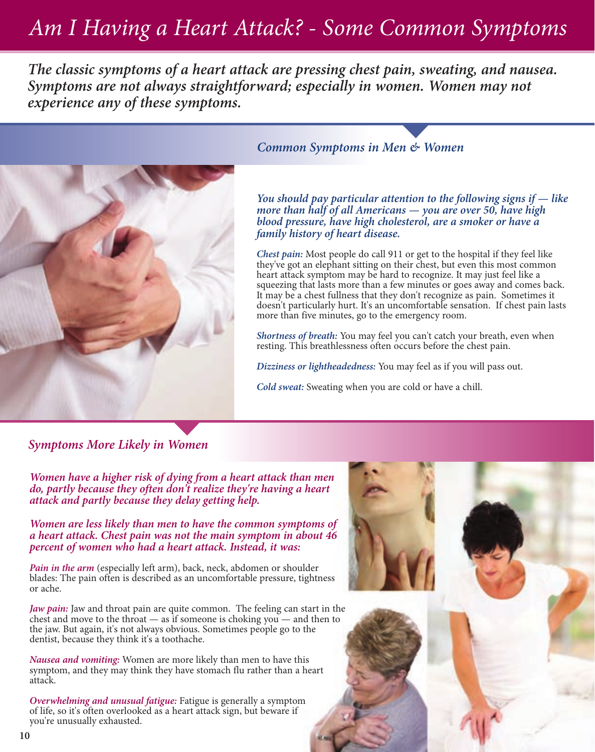# *Am I Having a Heart Attack? - Some Common Symptoms*

*The classic symptoms of a heart attack are pressing chest pain, sweating, and nausea. Symptoms are not always straightforward; especially in women. Women may not experience any of these symptoms.*



#### *Common Symptoms in Men & Women*

*You should pay particular attention to the following signs if — like more than half of all Americans — you are over 50, have high blood pressure, have high cholesterol, are a smoker or have a family history of heart disease.* 

*Chest pain:* Most people do call 911 or get to the hospital if they feel like they've got an elephant sitting on their chest, but even this most common heart attack symptom may be hard to recognize. It may just feel like a squeezing that lasts more than a few minutes or goes away and comes back. It may be a chest fullness that they don't recognize as pain. Sometimes it doesn't particularly hurt. It's an uncomfortable sensation. If chest pain lasts more than five minutes, go to the emergency room.

*Shortness of breath:* You may feel you can't catch your breath, even when resting. This breathlessness often occurs before the chest pain.

*Dizziness or lightheadedness:* You may feel as if you will pass out.

*Cold sweat:* Sweating when you are cold or have a chill.

#### *Symptoms More Likely in Women*

*Women have a higher risk of dying from a heart attack than men do, partly because they often don't realize they're having a heart attack and partly because they delay getting help.*

*Women are less likely than men to have the common symptoms of a heart attack. Chest pain was not the main symptom in about 46 percent of women who had a heart attack. Instead, it was:*

*Pain in the arm* (especially left arm), back, neck, abdomen or shoulder blades: The pain often is described as an uncomfortable pressure, tightness or ache.

*Jaw pain:* Jaw and throat pain are quite common. The feeling can start in the chest and move to the throat — as if someone is choking you — and then to the jaw. But again, it's not always obvious. Sometimes people go to the dentist, because they think it's a toothache.

*Nausea and vomiting:* Women are more likely than men to have this symptom, and they may think they have stomach flu rather than a heart attack.

*Overwhelming and unusual fatigue:* Fatigue is generally a symptom of life, so it's often overlooked as a heart attack sign, but beware if you're unusually exhausted.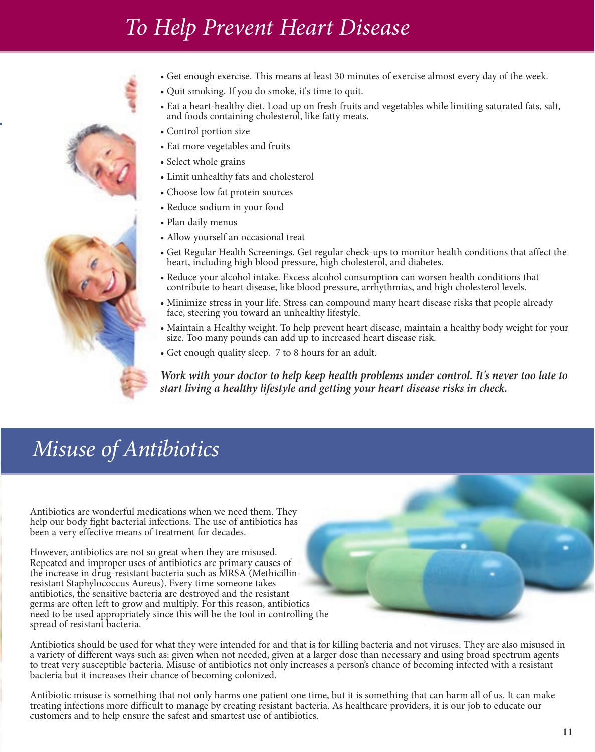# *To Help Prevent Heart Disease*



- Get enough exercise. This means at least 30 minutes of exercise almost every day of the week.
- Quit smoking. If you do smoke, it's time to quit.
- Eat a heart-healthy diet. Load up on fresh fruits and vegetables while limiting saturated fats, salt, and foods containing cholesterol, like fatty meats.
- Control portion size
- Eat more vegetables and fruits
- Select whole grains
- Limit unhealthy fats and cholesterol
- Choose low fat protein sources
- Reduce sodium in your food
- Plan daily menus
- Allow yourself an occasional treat
- Get Regular Health Screenings. Get regular check-ups to monitor health conditions that affect the heart, including high blood pressure, high cholesterol, and diabetes.
- Reduce your alcohol intake. Excess alcohol consumption can worsen health conditions that contribute to heart disease, like blood pressure, arrhythmias, and high cholesterol levels.
- Minimize stress in your life. Stress can compound many heart disease risks that people already face, steering you toward an unhealthy lifestyle.
- Maintain a Healthy weight. To help prevent heart disease, maintain a healthy body weight for your size. Too many pounds can add up to increased heart disease risk.
- Get enough quality sleep. 7 to 8 hours for an adult.

*Work with your doctor to help keep health problems under control. It's never too late to start living a healthy lifestyle and getting your heart disease risks in check.*

## *Misuse of Antibiotics*

Antibiotics are wonderful medications when we need them. They help our body fight bacterial infections. The use of antibiotics has been a very effective means of treatment for decades.

However, antibiotics are not so great when they are misused. Repeated and improper uses of antibiotics are primary causes of the increase in drug-resistant bacteria such as MRSA (Methicillinresistant Staphylococcus Aureus). Every time someone takes antibiotics, the sensitive bacteria are destroyed and the resistant germs are often left to grow and multiply. For this reason, antibiotics need to be used appropriately since this will be the tool in controlling the spread of resistant bacteria.

Antibiotics should be used for what they were intended for and that is for killing bacteria and not viruses. They are also misused in a variety of different ways such as: given when not needed, given at a larger dose than necessary and using broad spectrum agents to treat very susceptible bacteria. Misuse of antibiotics not only increases a person's chance of becoming infected with a resistant bacteria but it increases their chance of becoming colonized.

Antibiotic misuse is something that not only harms one patient one time, but it is something that can harm all of us. It can make treating infections more difficult to manage by creating resistant bacteria. As healthcare providers, it is our job to educate our customers and to help ensure the safest and smartest use of antibiotics.